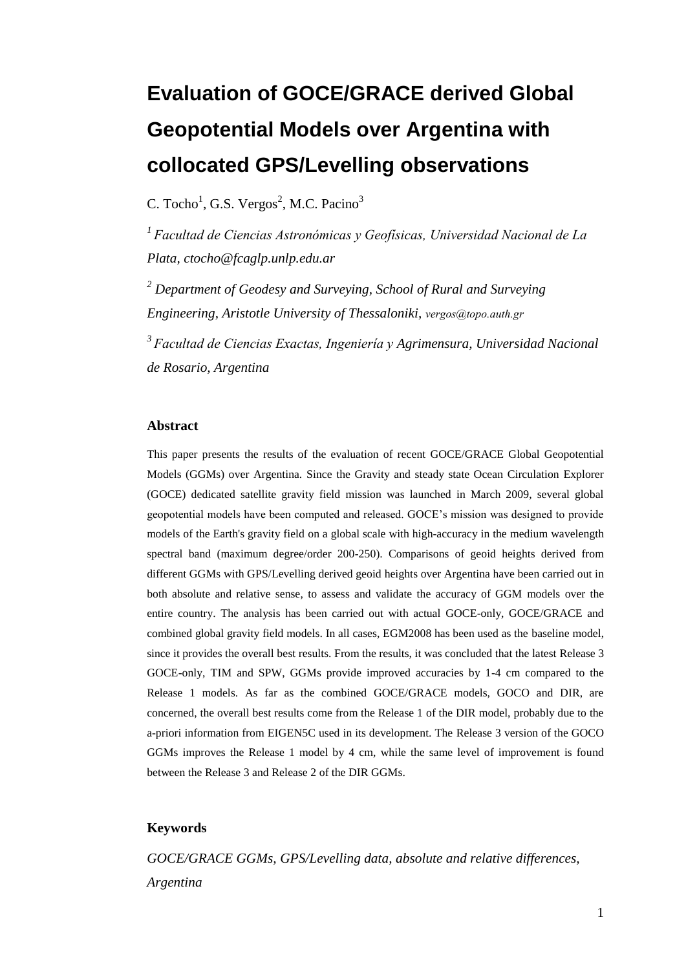# **Evaluation of GOCE/GRACE derived Global Geopotential Models over Argentina with collocated GPS/Levelling observations**

C. Tocho<sup>1</sup>, G.S. Vergos<sup>2</sup>, M.C. Pacino<sup>3</sup>

<sup>1</sup> Facultad de Ciencias Astronómicas y Geofísicas, Universidad Nacional de La *Plata, ctocho@fcaglp.unlp.edu.ar*

*<sup>2</sup> Department of Geodesy and Surveying, School of Rural and Surveying Engineering, Aristotle University of Thessaloniki, [vergos@topo.auth.gr](mailto:vergos@topo.auth.gr)*

*<sup>3</sup>Facultad de Ciencias Exactas, Ingeniería y Agrimensura, Universidad Nacional de Rosario, Argentina*

#### **Abstract**

This paper presents the results of the evaluation of recent GOCE/GRACE Global Geopotential Models (GGMs) over Argentina. Since the Gravity and steady state Ocean Circulation Explorer (GOCE) dedicated satellite gravity field mission was launched in March 2009, several global geopotential models have been computed and released. GOCE's mission was designed to provide models of the Earth's gravity field on a global scale with high-accuracy in the medium wavelength spectral band (maximum degree/order 200-250). Comparisons of geoid heights derived from different GGMs with GPS/Levelling derived geoid heights over Argentina have been carried out in both absolute and relative sense, to assess and validate the accuracy of GGM models over the entire country. The analysis has been carried out with actual GOCE-only, GOCE/GRACE and combined global gravity field models. In all cases, EGM2008 has been used as the baseline model, since it provides the overall best results. From the results, it was concluded that the latest Release 3 GOCE-only, TIM and SPW, GGMs provide improved accuracies by 1-4 cm compared to the Release 1 models. As far as the combined GOCE/GRACE models, GOCO and DIR, are concerned, the overall best results come from the Release 1 of the DIR model, probably due to the a-priori information from EIGEN5C used in its development. The Release 3 version of the GOCO GGMs improves the Release 1 model by 4 cm, while the same level of improvement is found between the Release 3 and Release 2 of the DIR GGMs.

#### **Keywords**

*GOCE/GRACE GGMs, GPS/Levelling data, absolute and relative differences, Argentina*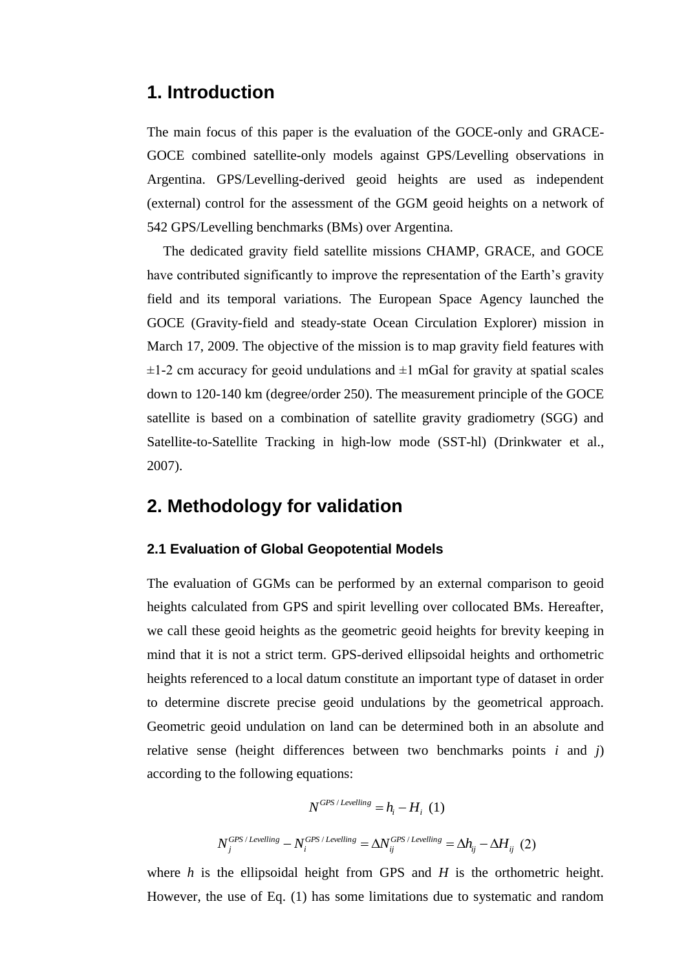## **1. Introduction**

The main focus of this paper is the evaluation of the GOCE-only and GRACE-GOCE combined satellite-only models against GPS/Levelling observations in Argentina. GPS/Levelling-derived geoid heights are used as independent (external) control for the assessment of the GGM geoid heights on a network of 542 GPS/Levelling benchmarks (BMs) over Argentina.

The dedicated gravity field satellite missions CHAMP, GRACE, and GOCE have contributed significantly to improve the representation of the Earth's gravity field and its temporal variations. The European Space Agency launched the GOCE (Gravity-field and steady-state Ocean Circulation Explorer) mission in March 17, 2009. The objective of the mission is to map gravity field features with  $\pm$ 1-2 cm accuracy for geoid undulations and  $\pm$ 1 mGal for gravity at spatial scales down to 120-140 km (degree/order 250). The measurement principle of the GOCE satellite is based on a combination of satellite gravity gradiometry (SGG) and Satellite-to-Satellite Tracking in high-low mode (SST-hl) (Drinkwater et al., 2007).

## **2. Methodology for validation**

#### **2.1 Evaluation of Global Geopotential Models**

The evaluation of GGMs can be performed by an external comparison to geoid heights calculated from GPS and spirit levelling over collocated BMs. Hereafter, we call these geoid heights as the geometric geoid heights for brevity keeping in mind that it is not a strict term. GPS-derived ellipsoidal heights and orthometric heights referenced to a local datum constitute an important type of dataset in order to determine discrete precise geoid undulations by the geometrical approach. Geometric geoid undulation on land can be determined both in an absolute and relative sense (height differences between two benchmarks points *i* and *j*) according to the following equations:

$$
N^{GPS/Levelling} = h_i - H_i \quad (1)
$$
  

$$
N_j^{GPS/Levelling} - N_i^{GPS/Levelling} = \Delta N_{ij}^{ GPS/Levelling} = \Delta h_{ij} - \Delta H_{ij} \quad (2)
$$

where *h* is the ellipsoidal height from GPS and *H* is the orthometric height. However, the use of Eq. (1) has some limitations due to systematic and random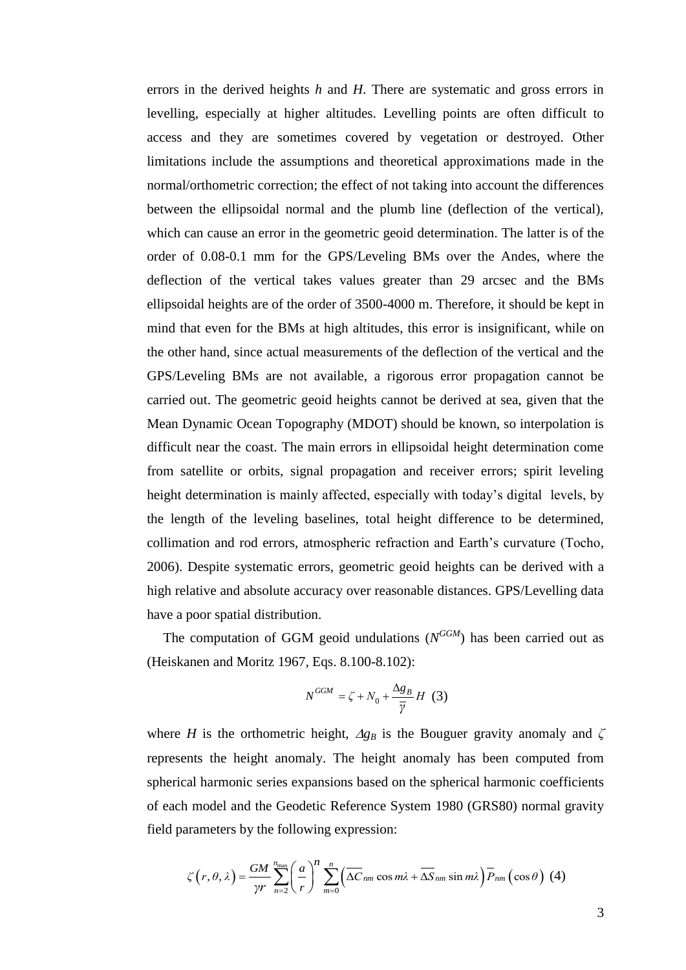errors in the derived heights *h* and *H*. There are systematic and gross errors in levelling, especially at higher altitudes. Levelling points are often difficult to access and they are sometimes covered by vegetation or destroyed. Other limitations include the assumptions and theoretical approximations made in the normal/orthometric correction; the effect of not taking into account the differences between the ellipsoidal normal and the plumb line (deflection of the vertical), which can cause an error in the geometric geoid determination. The latter is of the order of 0.08-0.1 mm for the GPS/Leveling BMs over the Andes, where the deflection of the vertical takes values greater than 29 arcsec and the BMs ellipsoidal heights are of the order of 3500-4000 m. Therefore, it should be kept in mind that even for the BMs at high altitudes, this error is insignificant, while on the other hand, since actual measurements of the deflection of the vertical and the GPS/Leveling BMs are not available, a rigorous error propagation cannot be carried out. The geometric geoid heights cannot be derived at sea, given that the Mean Dynamic Ocean Topography (MDOT) should be known, so interpolation is difficult near the coast. The main errors in ellipsoidal height determination come from satellite or orbits, signal propagation and receiver errors; spirit leveling height determination is mainly affected, especially with today's digital levels, by the length of the leveling baselines, total height difference to be determined, collimation and rod errors, atmospheric refraction and Earth's curvature (Tocho, 2006). Despite systematic errors, geometric geoid heights can be derived with a high relative and absolute accuracy over reasonable distances. GPS/Levelling data have a poor spatial distribution.

The computation of GGM geoid undulations  $(N^{GGM})$  has been carried out as (Heiskanen and Moritz 1967, Eqs. 8.100-8.102):

$$
N^{GGM} = \zeta + N_0 + \frac{\Delta g_B}{\overline{\gamma}} H \quad (3)
$$

where *H* is the orthometric height,  $Ag_B$  is the Bouguer gravity anomaly and  $\zeta$ represents the height anomaly. The height anomaly has been computed from spherical harmonic series expansions based on the spherical harmonic coefficients of each model and the Geodetic Reference System 1980 (GRS80) normal gravity field parameters by the following expression:

transvers by the following expression:  
\n
$$
\zeta(r,\theta,\lambda) = \frac{GM}{\gamma r} \sum_{n=2}^{n_{\text{max}}} \left(\frac{a}{r}\right)^n \sum_{m=0}^n \left(\overline{\Delta C}_{nm} \cos m\lambda + \overline{\Delta S}_{nm} \sin m\lambda\right) \overline{P}_{nm} \left(\cos \theta\right) (4)
$$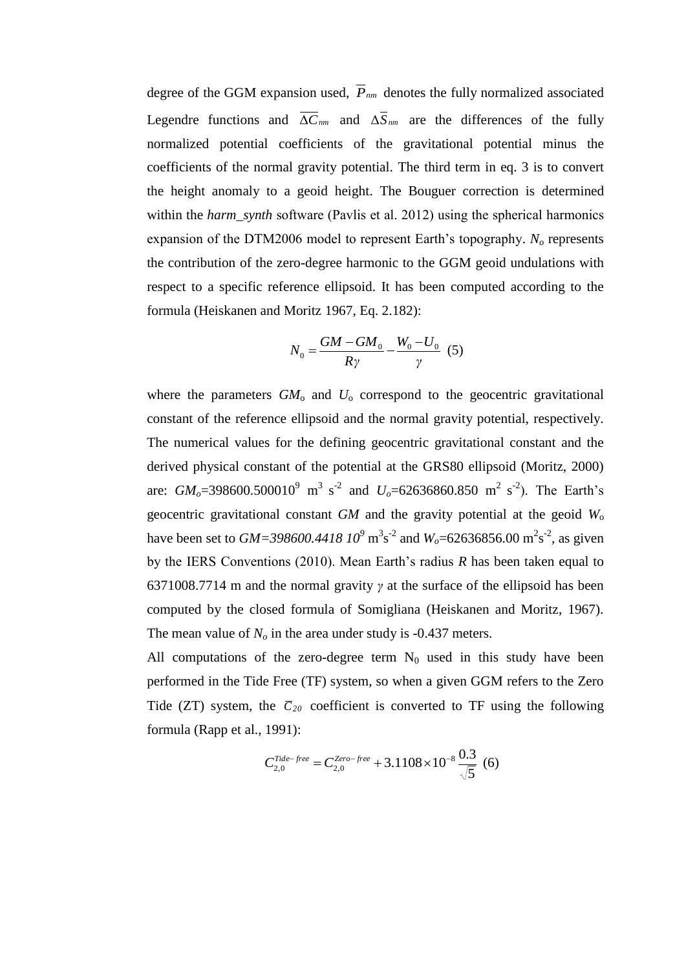degree of the GGM expansion used, *Pnm* denotes the fully normalized associated Legendre functions and  $\Delta C_{nm}$  and  $\Delta S_{nm}$  are the differences of the fully normalized potential coefficients of the gravitational potential minus the coefficients of the normal gravity potential. The third term in eq. 3 is to convert the height anomaly to a geoid height. The Bouguer correction is determined within the *harm\_synth* software (Pavlis et al. 2012) using the spherical harmonics expansion of the DTM2006 model to represent Earth's topography. *N<sup>o</sup>* represents the contribution of the zero-degree harmonic to the GGM geoid undulations with respect to a specific reference ellipsoid. It has been computed according to the formula (Heiskanen and Moritz 1967, Eq. 2.182):

$$
N_0 = \frac{GM - GM_0}{R\gamma} - \frac{W_0 - U_0}{\gamma} \tag{5}
$$

where the parameters  $GM<sub>o</sub>$  and  $U<sub>o</sub>$  correspond to the geocentric gravitational constant of the reference ellipsoid and the normal gravity potential, respectively. The numerical values for the defining geocentric gravitational constant and the derived physical constant of the potential at the GRS80 ellipsoid (Moritz, 2000) are:  $GM_o$ =398600.500010<sup>9</sup> m<sup>3</sup> s<sup>-2</sup> and  $U_o$ =62636860.850 m<sup>2</sup> s<sup>-2</sup>). The Earth's geocentric gravitational constant *GM* and the gravity potential at the geoid *W*<sup>o</sup> have been set to  $GM = 398600.441810^9 \text{ m}^3 \text{s}^{-2}$  and  $W_o = 62636856.00 \text{ m}^2 \text{s}^{-2}$ , as given by the IERS Conventions (2010). Mean Earth's radius *R* has been taken equal to 6371008.7714 m and the normal gravity *γ* at the surface of the ellipsoid has been computed by the closed formula of Somigliana (Heiskanen and Moritz, 1967). The mean value of  $N<sub>o</sub>$  in the area under study is -0.437 meters.

All computations of the zero-degree term  $N_0$  used in this study have been performed in the Tide Free (TF) system, so when a given GGM refers to the Zero Tide (ZT) system, the  $\overline{C}_{20}$  coefficient is converted to TF using the following formula (Rapp et al., 1991):

$$
C_{2,0}^{Tide-free} = C_{2,0}^{Zero-free} + 3.1108 \times 10^{-8} \frac{0.3}{\sqrt{5}} \tag{6}
$$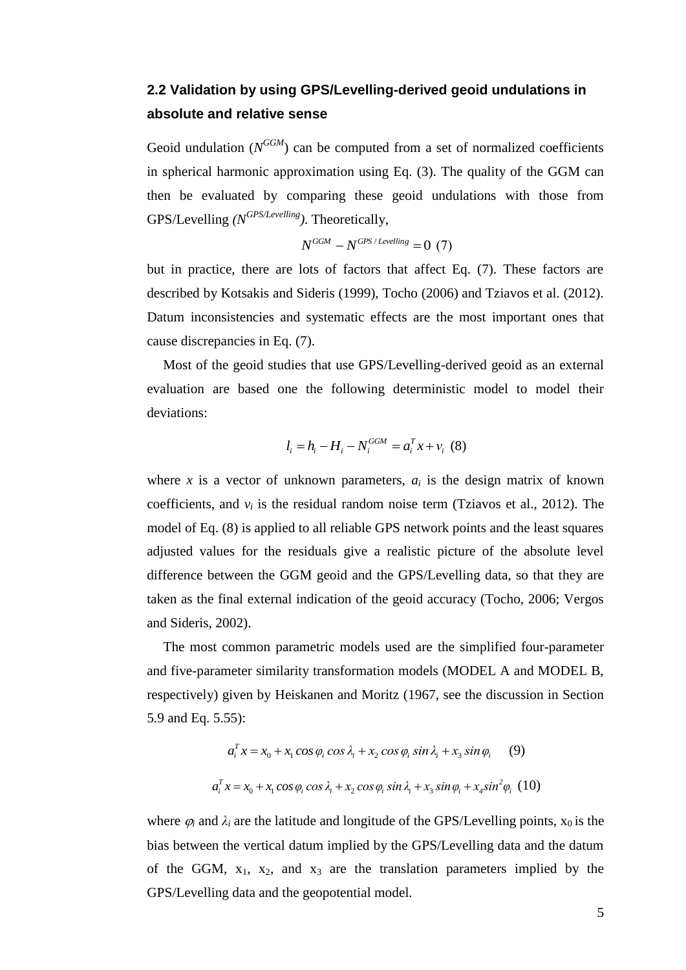## **2.2 Validation by using GPS/Levelling-derived geoid undulations in absolute and relative sense**

Geoid undulation  $(N^{GGM})$  can be computed from a set of normalized coefficients in spherical harmonic approximation using Eq. (3). The quality of the GGM can then be evaluated by comparing these geoid undulations with those from GPS/Levelling *(N GPS/Levelling)*. Theoretically,

$$
N^{GGM} - N^{GPS/Levelling} = 0 \tag{7}
$$

but in practice, there are lots of factors that affect Eq. (7). These factors are described by Kotsakis and Sideris (1999), Tocho (2006) and Tziavos et al. (2012). Datum inconsistencies and systematic effects are the most important ones that cause discrepancies in Eq. (7).

Most of the geoid studies that use GPS/Levelling-derived geoid as an external evaluation are based one the following deterministic model to model their deviations:

$$
l_i = h_i - H_i - N_i^{GGM} = a_i^T x + v_i \tag{8}
$$

where *x* is a vector of unknown parameters,  $a_i$  is the design matrix of known coefficients, and  $v_i$  is the residual random noise term (Tziavos et al., 2012). The model of Eq. (8) is applied to all reliable GPS network points and the least squares adjusted values for the residuals give a realistic picture of the absolute level difference between the GGM geoid and the GPS/Levelling data, so that they are taken as the final external indication of the geoid accuracy (Tocho, 2006; Vergos and Sideris, 2002).

The most common parametric models used are the simplified four-parameter and five-parameter similarity transformation models (MODEL A and MODEL B, respectively) given by Heiskanen and Moritz (1967, see the discussion in Section 5.9 and Eq. 5.55):

5.55):  
\n
$$
a_i^T x = x_0 + x_1 \cos \varphi_i \cos \lambda_i + x_2 \cos \varphi_i \sin \lambda_i + x_3 \sin \varphi_i \qquad (9)
$$
\n
$$
a_i^T x = x_0 + x_1 \cos \varphi_i \cos \lambda_i + x_2 \cos \varphi_i \sin \lambda_i + x_3 \sin \varphi_i + x_4 \sin^2 \varphi_i \qquad (10)
$$

where  $\varphi_i$  and  $\lambda_i$  are the latitude and longitude of the GPS/Levelling points,  $x_0$  is the bias between the vertical datum implied by the GPS/Levelling data and the datum of the GGM,  $x_1$ ,  $x_2$ , and  $x_3$  are the translation parameters implied by the GPS/Levelling data and the geopotential model.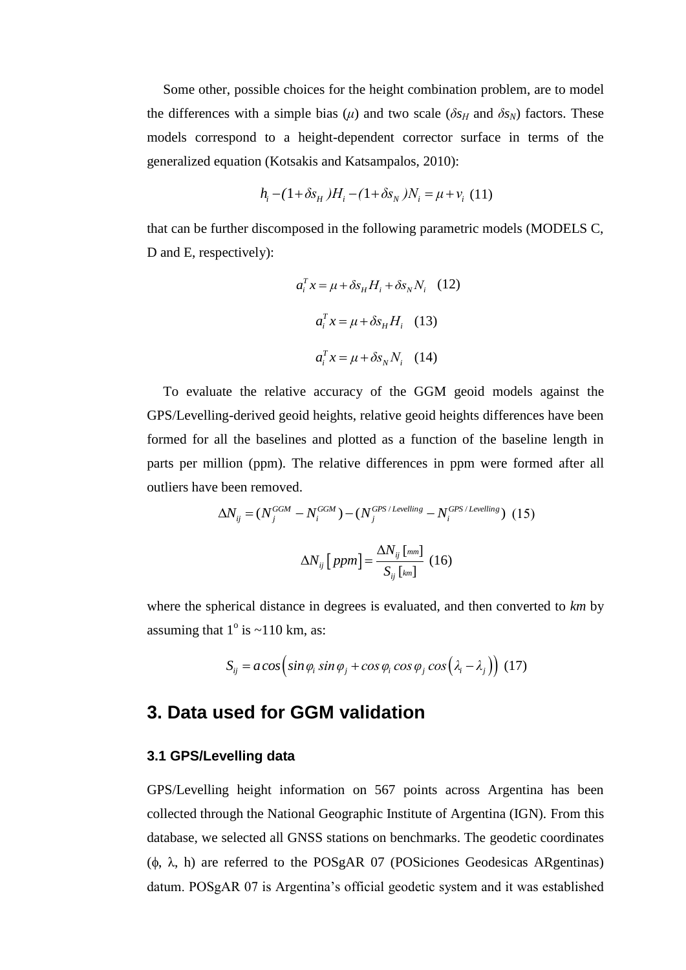Some other, possible choices for the height combination problem, are to model the differences with a simple bias ( $\mu$ ) and two scale ( $\delta s_H$  and  $\delta s_N$ ) factors. These models correspond to a height-dependent corrector surface in terms of the generalized equation (Kotsakis and Katsampalos, 2010):

$$
h_i - (1 + \delta s_H)H_i - (1 + \delta s_N)N_i = \mu + v_i \ (11)
$$

that can be further discomposed in the following parametric models (MODELS C, D and E, respectively):

$$
a_i^T x = \mu + \delta s_H H_i + \delta s_N N_i \quad (12)
$$

$$
a_i^T x = \mu + \delta s_H H_i \quad (13)
$$

$$
a_i^T x = \mu + \delta s_N N_i \quad (14)
$$

To evaluate the relative accuracy of the GGM geoid models against the GPS/Levelling-derived geoid heights, relative geoid heights differences have been formed for all the baselines and plotted as a function of the baseline length in parts per million (ppm). The relative differences in ppm were formed after all outliers have been removed.

$$
\Delta N_{ij} = (N_j^{GGM} - N_i^{GGM}) - (N_j^{GPS/Levelling} - N_i^{GPS/Levelling}) \tag{15}
$$

$$
\Delta N_{ij} [ppm] = \frac{\Delta N_{ij} [mm]}{S_{ij} [km]} \tag{16}
$$

where the spherical distance in degrees is evaluated, and then converted to *km* by assuming that  $1^\circ$  is  $\sim$ 110 km, as:

$$
S_{ij} = a \cos \left( \sin \varphi_i \sin \varphi_j + \cos \varphi_i \cos \varphi_j \cos \left( \lambda_i - \lambda_j \right) \right)
$$
 (17)

## **3. Data used for GGM validation**

#### **3.1 GPS/Levelling data**

GPS/Levelling height information on 567 points across Argentina has been collected through the National Geographic Institute of Argentina (IGN). From this database, we selected all GNSS stations on benchmarks. The geodetic coordinates ( $\phi$ ,  $\lambda$ , h) are referred to the POSgAR 07 (POSiciones Geodesicas ARgentinas) datum. POSgAR 07 is Argentina's official geodetic system and it was established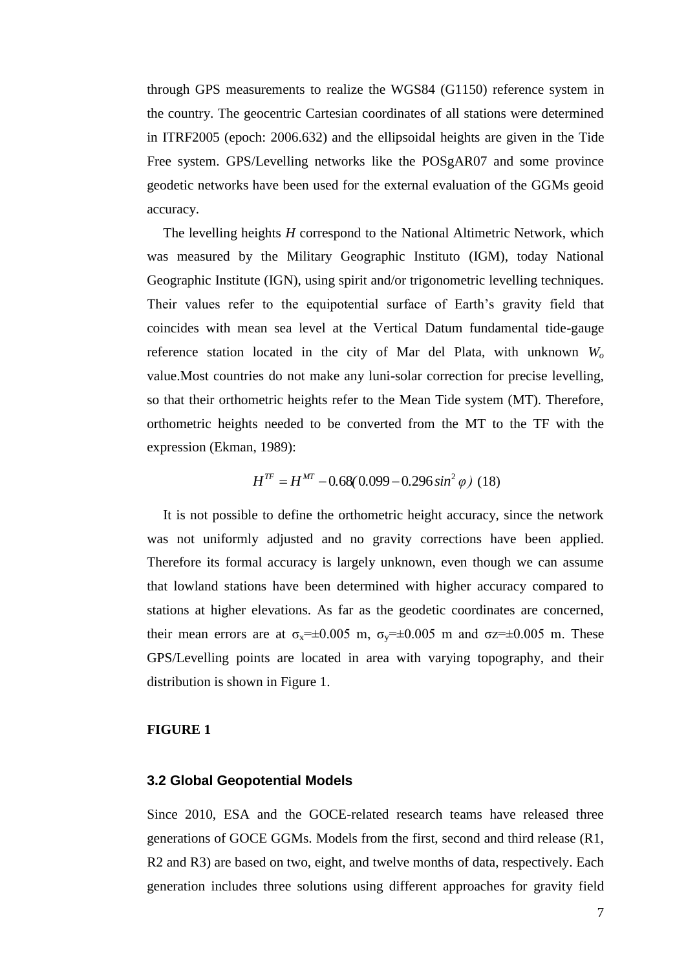through GPS measurements to realize the WGS84 (G1150) reference system in the country. The geocentric Cartesian coordinates of all stations were determined in ITRF2005 (epoch: 2006.632) and the ellipsoidal heights are given in the Tide Free system. GPS/Levelling networks like the POSgAR07 and some province geodetic networks have been used for the external evaluation of the GGMs geoid accuracy.

The levelling heights *H* correspond to the National Altimetric Network, which was measured by the Military Geographic Instituto (IGM), today National Geographic Institute (IGN), using spirit and/or trigonometric levelling techniques. Their values refer to the equipotential surface of Earth's gravity field that coincides with mean sea level at the Vertical Datum fundamental tide-gauge reference station located in the city of Mar del Plata, with unknown *W<sup>o</sup>* value.Most countries do not make any luni-solar correction for precise levelling, so that their orthometric heights refer to the Mean Tide system (MT). Therefore, orthometric heights needed to be converted from the MT to the TF with the expression (Ekman, 1989):

$$
H^{TF} = H^{MT} - 0.68(0.099 - 0.296 \sin^2 \varphi)
$$
 (18)

It is not possible to define the orthometric height accuracy, since the network was not uniformly adjusted and no gravity corrections have been applied. Therefore its formal accuracy is largely unknown, even though we can assume that lowland stations have been determined with higher accuracy compared to stations at higher elevations. As far as the geodetic coordinates are concerned, their mean errors are at  $\sigma_x = \pm 0.005$  m,  $\sigma_y = \pm 0.005$  m and  $\sigma_z = \pm 0.005$  m. These GPS/Levelling points are located in area with varying topography, and their distribution is shown in Figure 1.

#### **FIGURE 1**

#### **3.2 Global Geopotential Models**

Since 2010, ESA and the GOCE-related research teams have released three generations of GOCE GGMs. Models from the first, second and third release (R1, R2 and R3) are based on two, eight, and twelve months of data, respectively. Each generation includes three solutions using different approaches for gravity field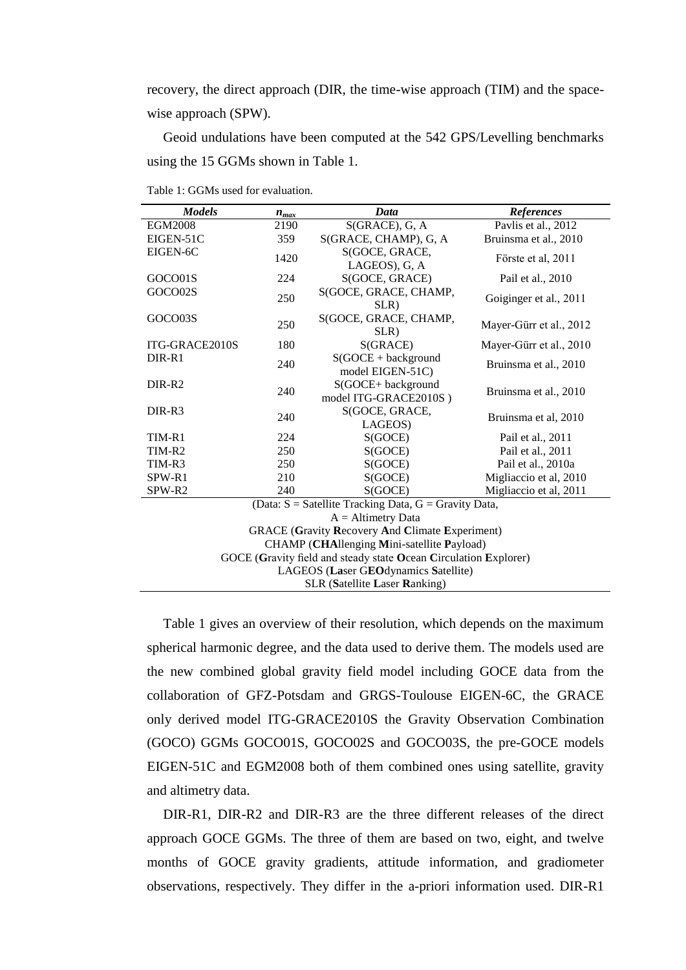recovery, the direct approach (DIR, the time-wise approach (TIM) and the spacewise approach (SPW).

Geoid undulations have been computed at the 542 GPS/Levelling benchmarks using the 15 GGMs shown in Table 1.

| <b>Models</b>                                                    | $n_{max}$                                | Data                                        | <b>References</b>       |  |  |  |  |
|------------------------------------------------------------------|------------------------------------------|---------------------------------------------|-------------------------|--|--|--|--|
| <b>EGM2008</b>                                                   | 2190                                     | $S(GRACE)$ , G, A                           | Pavlis et al., 2012     |  |  |  |  |
| EIGEN-51C                                                        | 359                                      | S(GRACE, CHAMP), G, A                       | Bruinsma et al., 2010   |  |  |  |  |
| EIGEN-6C                                                         | 1420                                     | S(GOCE, GRACE,<br>LAGEOS), G, A             | Förste et al, 2011      |  |  |  |  |
| GOCO01S                                                          | 224                                      | S(GOCE, GRACE)                              | Pail et al., 2010       |  |  |  |  |
| GOCO02S                                                          | 250                                      | S(GOCE, GRACE, CHAMP,<br>SLR)               | Goiginger et al., 2011  |  |  |  |  |
| GOCO03S                                                          | 250                                      | S(GOCE, GRACE, CHAMP,<br>SLR)               | Mayer-Gürr et al., 2012 |  |  |  |  |
| ITG-GRACE2010S                                                   | 180                                      | S(GRACE)                                    | Mayer-Gürr et al., 2010 |  |  |  |  |
| DIR-R1                                                           | 240                                      | $S(GOCE + background)$<br>model EIGEN-51C)  | Bruinsma et al., 2010   |  |  |  |  |
| DIR-R2                                                           | 240                                      | S(GOCE+ background<br>model ITG-GRACE2010S) | Bruinsma et al., 2010   |  |  |  |  |
| DIR-R3                                                           | 240                                      | S(GOCE, GRACE,<br>LAGEOS)                   | Bruinsma et al, 2010    |  |  |  |  |
| TIM-R1                                                           | 224                                      | S(GOCE)                                     | Pail et al., 2011       |  |  |  |  |
| TIM-R2                                                           | 250                                      | S(GOCE)                                     | Pail et al., 2011       |  |  |  |  |
| TIM-R3                                                           | 250                                      | S(GOCE)                                     | Pail et al., 2010a      |  |  |  |  |
| SPW-R1                                                           | 210                                      | S(GOCE)                                     | Migliaccio et al, 2010  |  |  |  |  |
| SPW-R2                                                           | 240<br>S(GOCE)<br>Migliaccio et al, 2011 |                                             |                         |  |  |  |  |
| (Data: $S =$ Satellite Tracking Data, $G =$ Gravity Data,        |                                          |                                             |                         |  |  |  |  |
| $A =$ Altimetry Data                                             |                                          |                                             |                         |  |  |  |  |
| <b>GRACE (Gravity Recovery And Climate Experiment)</b>           |                                          |                                             |                         |  |  |  |  |
| CHAMP (CHAllenging Mini-satellite Payload)                       |                                          |                                             |                         |  |  |  |  |
| GOCE (Gravity field and steady state Ocean Circulation Explorer) |                                          |                                             |                         |  |  |  |  |
| LAGEOS (Laser GEOdynamics Satellite)                             |                                          |                                             |                         |  |  |  |  |
| SLR (Satellite Laser Ranking)                                    |                                          |                                             |                         |  |  |  |  |

Table 1: GGMs used for evaluation.

Table 1 gives an overview of their resolution, which depends on the maximum spherical harmonic degree, and the data used to derive them. The models used are the new combined global gravity field model including GOCE data from the collaboration of GFZ-Potsdam and GRGS-Toulouse EIGEN-6C, the GRACE only derived model ITG-GRACE2010S the Gravity Observation Combination (GOCO) GGMs GOCO01S, GOCO02S and GOCO03S, the pre-GOCE models EIGEN-51C and EGM2008 both of them combined ones using satellite, gravity and altimetry data.

DIR-R1, DIR-R2 and DIR-R3 are the three different releases of the direct approach GOCE GGMs. The three of them are based on two, eight, and twelve months of GOCE gravity gradients, attitude information, and gradiometer observations, respectively. They differ in the a-priori information used. DIR-R1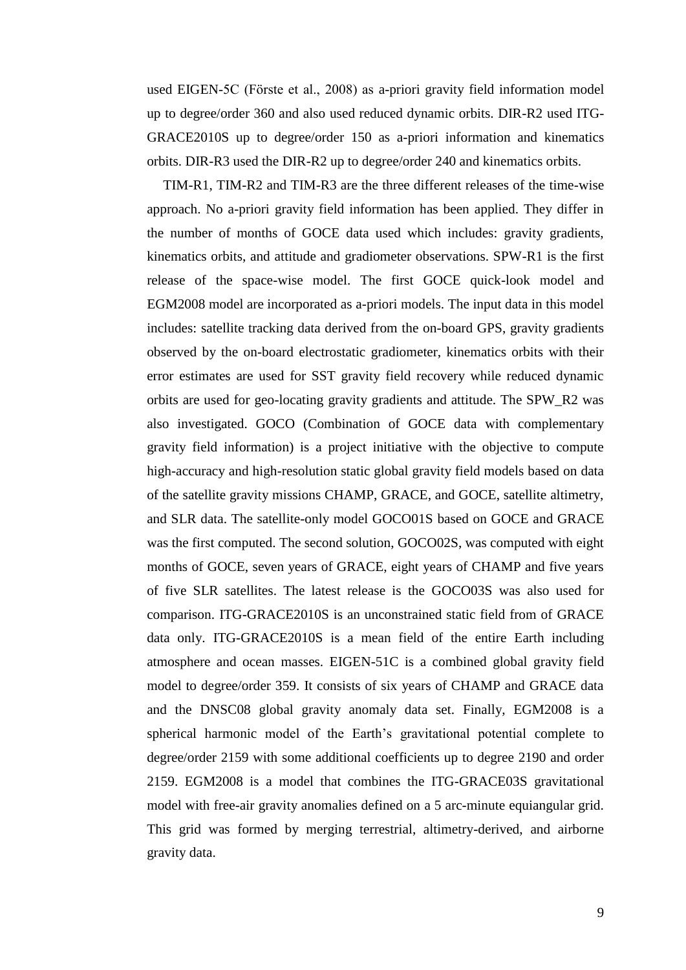used EIGEN-5C (Förste et al., 2008) as a-priori gravity field information model up to degree/order 360 and also used reduced dynamic orbits. DIR-R2 used ITG-GRACE2010S up to degree/order 150 as a-priori information and kinematics orbits. DIR-R3 used the DIR-R2 up to degree/order 240 and kinematics orbits.

TIM-R1, TIM-R2 and TIM-R3 are the three different releases of the time-wise approach. No a-priori gravity field information has been applied. They differ in the number of months of GOCE data used which includes: gravity gradients, kinematics orbits, and attitude and gradiometer observations. SPW-R1 is the first release of the space-wise model. The first GOCE quick-look model and EGM2008 model are incorporated as a-priori models. The input data in this model includes: satellite tracking data derived from the on-board GPS, gravity gradients observed by the on-board electrostatic gradiometer, kinematics orbits with their error estimates are used for SST gravity field recovery while reduced dynamic orbits are used for geo-locating gravity gradients and attitude. The SPW\_R2 was also investigated. GOCO (Combination of GOCE data with complementary gravity field information) is a project initiative with the objective to compute high-accuracy and high-resolution static global gravity field models based on data of the satellite gravity missions CHAMP, GRACE, and GOCE, satellite altimetry, and SLR data. The satellite-only model GOCO01S based on GOCE and GRACE was the first computed. The second solution, GOCO02S, was computed with eight months of GOCE, seven years of GRACE, eight years of CHAMP and five years of five SLR satellites. The latest release is the GOCO03S was also used for comparison. ITG-GRACE2010S is an unconstrained static field from of GRACE data only. ITG-GRACE2010S is a mean field of the entire Earth including atmosphere and ocean masses. EIGEN-51C is a combined global gravity field model to degree/order 359. It consists of six years of CHAMP and GRACE data and the DNSC08 global gravity anomaly data set. Finally, EGM2008 is a spherical harmonic model of the Earth's gravitational potential complete to degree/order 2159 with some additional coefficients up to degree 2190 and order 2159. EGM2008 is a model that combines the ITG-GRACE03S gravitational model with free-air gravity anomalies defined on a 5 arc-minute equiangular grid. This grid was formed by merging terrestrial, altimetry-derived, and airborne gravity data.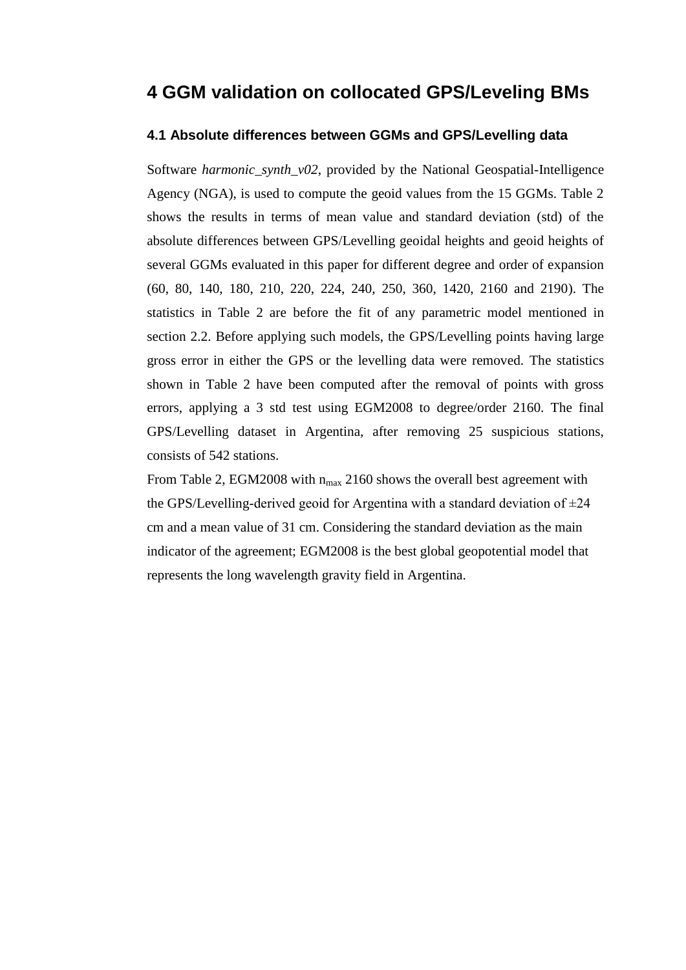## **4 GGM validation on collocated GPS/Leveling BMs**

### **4.1 Absolute differences between GGMs and GPS/Levelling data**

Software *harmonic\_synth\_v02*, provided by the National Geospatial-Intelligence Agency (NGA), is used to compute the geoid values from the 15 GGMs. Table 2 shows the results in terms of mean value and standard deviation (std) of the absolute differences between GPS/Levelling geoidal heights and geoid heights of several GGMs evaluated in this paper for different degree and order of expansion (60, 80, 140, 180, 210, 220, 224, 240, 250, 360, 1420, 2160 and 2190). The statistics in Table 2 are before the fit of any parametric model mentioned in section 2.2. Before applying such models, the GPS/Levelling points having large gross error in either the GPS or the levelling data were removed. The statistics shown in Table 2 have been computed after the removal of points with gross errors, applying a 3 std test using EGM2008 to degree/order 2160. The final GPS/Levelling dataset in Argentina, after removing 25 suspicious stations, consists of 542 stations.

From Table 2, EGM2008 with  $n_{max}$  2160 shows the overall best agreement with the GPS/Levelling-derived geoid for Argentina with a standard deviation of  $\pm 24$ cm and a mean value of 31 cm. Considering the standard deviation as the main indicator of the agreement; EGM2008 is the best global geopotential model that represents the long wavelength gravity field in Argentina.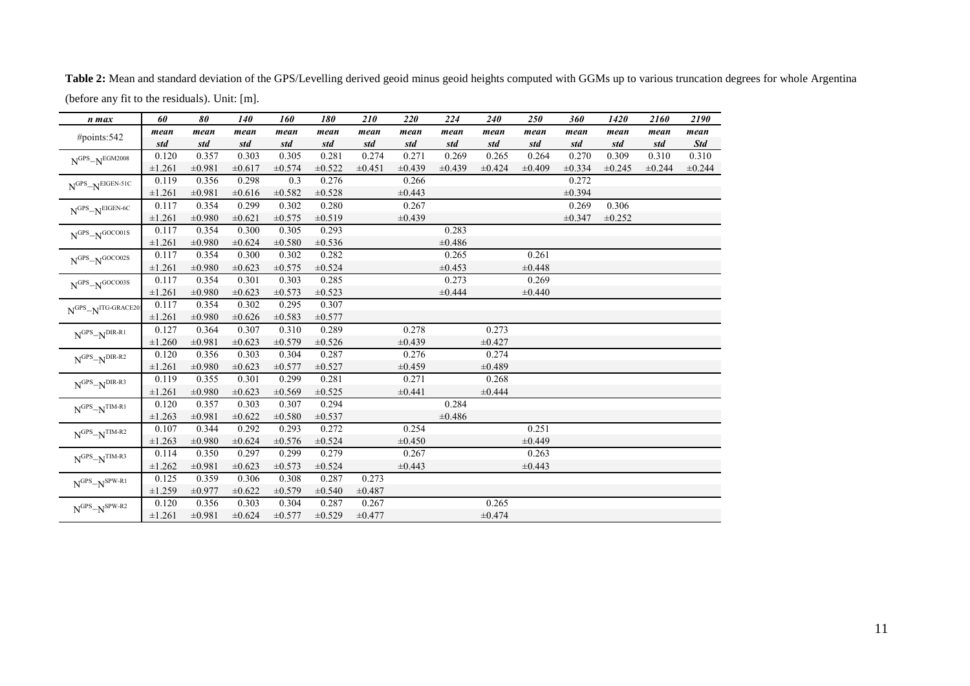**Table 2:** Mean and standard deviation of the GPS/Levelling derived geoid minus geoid heights computed with GGMs up to various truncation degrees for whole Argentina (before any fit to the residuals). Unit: [m].

| n max                                                                                          | 60     | 80     | 140         | 160         | 180         | 210    | 220         | 224    | 240    | 250         | 360         | 1420        | 2160   | 2190       |
|------------------------------------------------------------------------------------------------|--------|--------|-------------|-------------|-------------|--------|-------------|--------|--------|-------------|-------------|-------------|--------|------------|
| #points:542                                                                                    | mean   | mean   | mean        | mean        | mean        | mean   | mean        | mean   | mean   | mean        | mean        | mean        | mean   | mean       |
|                                                                                                | std    | std    | std         | std         | std         | std    | std         | std    | std    | std         | std         | std         | std    | <b>Std</b> |
| $NGPS-NEGM2008$                                                                                | 0.120  | 0.357  | 0.303       | 0.305       | 0.281       | 0.274  | 0.271       | 0.269  | 0.265  | 0.264       | 0.270       | 0.309       | 0.310  | 0.310      |
|                                                                                                | ±1.261 | ±0.981 | ±0.617      | ±0.574      | $\pm 0.522$ | ±0.451 | $\pm 0.439$ | ±0.439 | ±0.424 | ±0.409      | $\pm 0.334$ | $\pm 0.245$ | ±0.244 | ±0.244     |
| $NGPS-NEIGEN-51C$                                                                              | 0.119  | 0.356  | 0.298       | 0.3         | 0.276       |        | 0.266       |        |        |             | 0.272       |             |        |            |
|                                                                                                | ±1.261 | ±0.981 | ±0.616      | $\pm 0.582$ | $\pm 0.528$ |        | $\pm 0.443$ |        |        |             | ±0.394      |             |        |            |
| $NGPS-NEIGEN-6C$                                                                               | 0.117  | 0.354  | 0.299       | 0.302       | 0.280       |        | 0.267       |        |        |             | 0.269       | 0.306       |        |            |
|                                                                                                | ±1.261 | ±0.980 | ±0.621      | ±0.575      | ±0.519      |        | ±0.439      |        |        |             | ±0.347      | ±0.252      |        |            |
| $N^{GPS}$ - $N^{GOCO01S}$                                                                      | 0.117  | 0.354  | 0.300       | 0.305       | 0.293       |        |             | 0.283  |        |             |             |             |        |            |
|                                                                                                | ±1.261 | ±0.980 | ±0.624      | ±0.580      | ±0.536      |        |             | ±0.486 |        |             |             |             |        |            |
| $NGPS-NGOCOO2S$                                                                                | 0.117  | 0.354  | 0.300       | 0.302       | 0.282       |        |             | 0.265  |        | 0.261       |             |             |        |            |
|                                                                                                | ±1.261 | ±0.980 | ±0.623      | ±0.575      | ±0.524      |        |             | ±0.453 |        | ±0.448      |             |             |        |            |
| $\ensuremath{\mathbf{N}^{\mathrm{GPS}}}\xspace\neg \ensuremath{\mathbf{N}^{\mathrm{GOCO03S}}}$ | 0.117  | 0.354  | 0.301       | 0.303       | 0.285       |        |             | 0.273  |        | 0.269       |             |             |        |            |
|                                                                                                | ±1.261 | ±0.980 | $\pm 0.623$ | ±0.573      | ±0.523      |        |             | ±0.444 |        | ±0.440      |             |             |        |            |
| $N^{GPS}$ - $N^{ITG\text{-}GRACE20}$                                                           | 0.117  | 0.354  | 0.302       | 0.295       | 0.307       |        |             |        |        |             |             |             |        |            |
|                                                                                                | ±1.261 | ±0.980 | ±0.626      | ±0.583      | ±0.577      |        |             |        |        |             |             |             |        |            |
| $\text{N}^{\text{GPS}}\text{–N}^{\text{DIR-R1}}$                                               | 0.127  | 0.364  | 0.307       | 0.310       | 0.289       |        | 0.278       |        | 0.273  |             |             |             |        |            |
|                                                                                                | ±1.260 | ±0.981 | ±0.623      | ±0.579      | ±0.526      |        | ±0.439      |        | ±0.427 |             |             |             |        |            |
| $\text{N}^{\text{GPS}}\text{–N}^{\text{DIR-R2}}$                                               | 0.120  | 0.356  | 0.303       | 0.304       | 0.287       |        | 0.276       |        | 0.274  |             |             |             |        |            |
|                                                                                                | ±1.261 | ±0.980 | $\pm 0.623$ | $\pm 0.577$ | $\pm 0.527$ |        | ±0.459      |        | ±0.489 |             |             |             |        |            |
| $\text{N}^{\text{GPS}}\text{–N}^{\text{DIR-R3}}$                                               | 0.119  | 0.355  | 0.301       | 0.299       | 0.281       |        | 0.271       |        | 0.268  |             |             |             |        |            |
|                                                                                                | ±1.261 | ±0.980 | $\pm 0.623$ | ±0.569      | ±0.525      |        | ±0.441      |        | ±0.444 |             |             |             |        |            |
| $\text{N}^{\text{GPS}}\text{--}\text{N}^{\text{TIM-R1}}$                                       | 0.120  | 0.357  | 0.303       | 0.307       | 0.294       |        |             | 0.284  |        |             |             |             |        |            |
|                                                                                                | ±1.263 | ±0.981 | ±0.622      | ±0.580      | ±0.537      |        |             | ±0.486 |        |             |             |             |        |            |
| $N^{GPS}$ - $N^{TIM-R2}$                                                                       | 0.107  | 0.344  | 0.292       | 0.293       | 0.272       |        | 0.254       |        |        | 0.251       |             |             |        |            |
|                                                                                                | ±1.263 | ±0.980 | ±0.624      | ±0.576      | ±0.524      |        | ±0.450      |        |        | ±0.449      |             |             |        |            |
| $\text{N}^{\text{GPS}}\text{–}\text{N}^{\text{TIM-R3}}$                                        | 0.114  | 0.350  | 0.297       | 0.299       | 0.279       |        | 0.267       |        |        | 0.263       |             |             |        |            |
|                                                                                                | ±1.262 | ±0.981 | ±0.623      | ±0.573      | ±0.524      |        | $\pm 0.443$ |        |        | $\pm 0.443$ |             |             |        |            |
| $N^{GPS}$ - $N^{SPW-R1}$                                                                       | 0.125  | 0.359  | 0.306       | 0.308       | 0.287       | 0.273  |             |        |        |             |             |             |        |            |
|                                                                                                | ±1.259 | ±0.977 | ±0.622      | ±0.579      | ±0.540      | ±0.487 |             |        |        |             |             |             |        |            |
| $NGPS-NSPW-R2$                                                                                 | 0.120  | 0.356  | 0.303       | 0.304       | 0.287       | 0.267  |             |        | 0.265  |             |             |             |        |            |
|                                                                                                | ±1.261 | ±0.981 | ±0.624      | ±0.577      | ±0.529      | ±0.477 |             |        | ±0.474 |             |             |             |        |            |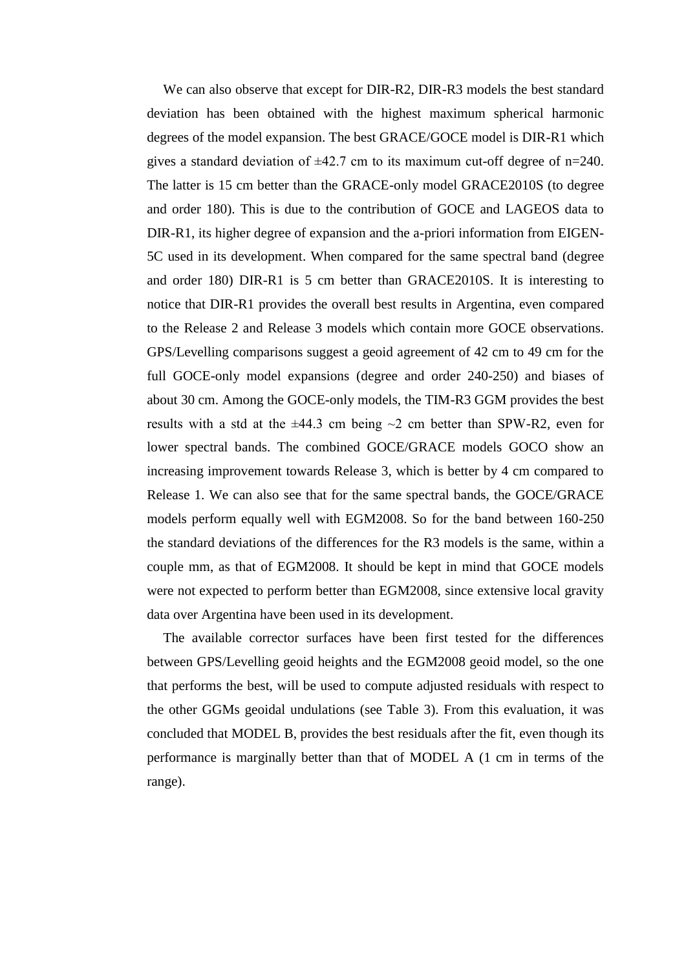We can also observe that except for DIR-R2, DIR-R3 models the best standard deviation has been obtained with the highest maximum spherical harmonic degrees of the model expansion. The best GRACE/GOCE model is DIR-R1 which gives a standard deviation of  $\pm 42.7$  cm to its maximum cut-off degree of n=240. The latter is 15 cm better than the GRACE-only model GRACE2010S (to degree and order 180). This is due to the contribution of GOCE and LAGEOS data to DIR-R1, its higher degree of expansion and the a-priori information from EIGEN-5C used in its development. When compared for the same spectral band (degree and order 180) DIR-R1 is 5 cm better than GRACE2010S. It is interesting to notice that DIR-R1 provides the overall best results in Argentina, even compared to the Release 2 and Release 3 models which contain more GOCE observations. GPS/Levelling comparisons suggest a geoid agreement of 42 cm to 49 cm for the full GOCE-only model expansions (degree and order 240-250) and biases of about 30 cm. Among the GOCE-only models, the TIM-R3 GGM provides the best results with a std at the  $\pm 44.3$  cm being  $\sim$ 2 cm better than SPW-R2, even for lower spectral bands. The combined GOCE/GRACE models GOCO show an increasing improvement towards Release 3, which is better by 4 cm compared to Release 1. We can also see that for the same spectral bands, the GOCE/GRACE models perform equally well with EGM2008. So for the band between 160-250 the standard deviations of the differences for the R3 models is the same, within a couple mm, as that of EGM2008. It should be kept in mind that GOCE models were not expected to perform better than EGM2008, since extensive local gravity data over Argentina have been used in its development.

The available corrector surfaces have been first tested for the differences between GPS/Levelling geoid heights and the EGM2008 geoid model, so the one that performs the best, will be used to compute adjusted residuals with respect to the other GGMs geoidal undulations (see Table 3). From this evaluation, it was concluded that MODEL B, provides the best residuals after the fit, even though its performance is marginally better than that of MODEL A (1 cm in terms of the range).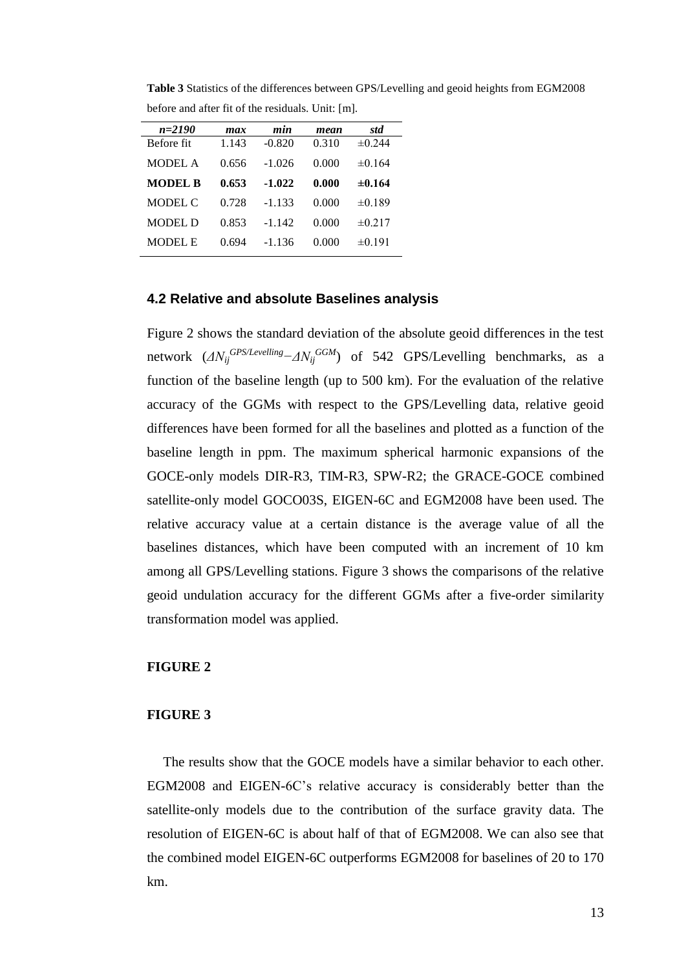| $n = 2190$     | max   | min      | mean  | std         |
|----------------|-------|----------|-------|-------------|
| Before fit     | 1.143 | $-0.820$ | 0.310 | $\pm 0.244$ |
| MODEL A        | 0.656 | $-1.026$ | 0.000 | $\pm 0.164$ |
| <b>MODEL B</b> | 0.653 | $-1.022$ | 0.000 | $\pm 0.164$ |
| MODEL C        | 0.728 | $-1.133$ | 0.000 | $\pm 0.189$ |
| MODEL D        | 0.853 | $-1.142$ | 0.000 | $\pm 0.217$ |
| MODEL E        | 0.694 | $-1.136$ | 0.000 | $\pm 0.191$ |

**Table 3** Statistics of the differences between GPS/Levelling and geoid heights from EGM2008 before and after fit of the residuals. Unit: [m].

#### **4.2 Relative and absolute Baselines analysis**

Figure 2 shows the standard deviation of the absolute geoid differences in the test network  $(\Delta N_{ij}^{GPS/Levelling} - \Delta N_{ij}^{GGM})$  of 542 GPS/Levelling benchmarks, as a function of the baseline length (up to 500 km). For the evaluation of the relative accuracy of the GGMs with respect to the GPS/Levelling data, relative geoid differences have been formed for all the baselines and plotted as a function of the baseline length in ppm. The maximum spherical harmonic expansions of the GOCE-only models DIR-R3, TIM-R3, SPW-R2; the GRACE-GOCE combined satellite-only model GOCO03S, EIGEN-6C and EGM2008 have been used. The relative accuracy value at a certain distance is the average value of all the baselines distances, which have been computed with an increment of 10 km among all GPS/Levelling stations. Figure 3 shows the comparisons of the relative geoid undulation accuracy for the different GGMs after a five-order similarity transformation model was applied.

#### **FIGURE 2**

#### **FIGURE 3**

The results show that the GOCE models have a similar behavior to each other. EGM2008 and EIGEN-6C's relative accuracy is considerably better than the satellite-only models due to the contribution of the surface gravity data. The resolution of EIGEN-6C is about half of that of EGM2008. We can also see that the combined model EIGEN-6C outperforms EGM2008 for baselines of 20 to 170 km.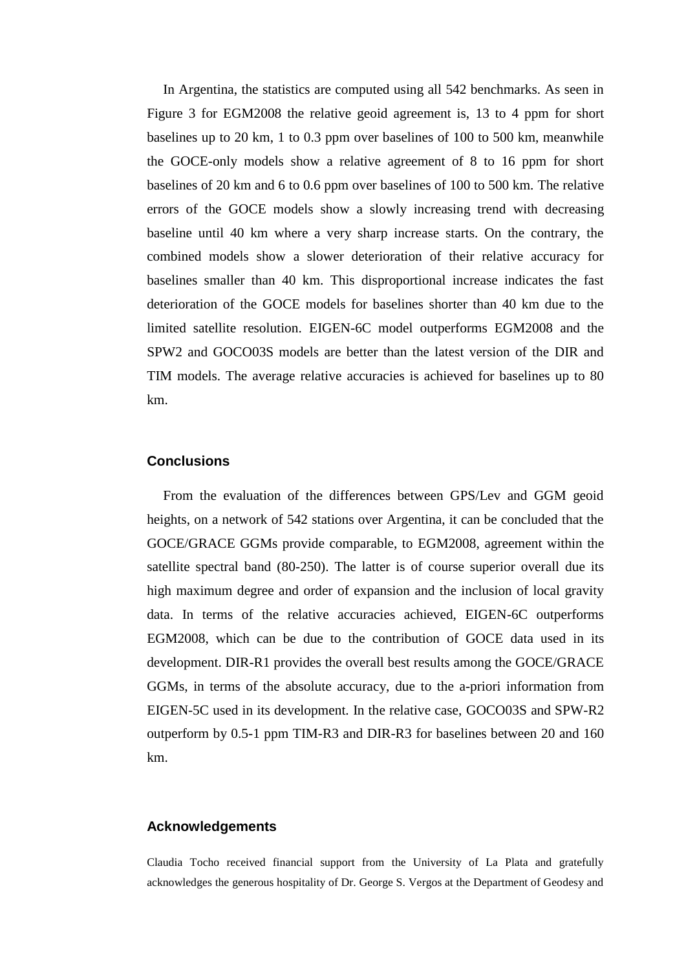In Argentina, the statistics are computed using all 542 benchmarks. As seen in Figure 3 for EGM2008 the relative geoid agreement is, 13 to 4 ppm for short baselines up to 20 km, 1 to 0.3 ppm over baselines of 100 to 500 km, meanwhile the GOCE-only models show a relative agreement of 8 to 16 ppm for short baselines of 20 km and 6 to 0.6 ppm over baselines of 100 to 500 km. The relative errors of the GOCE models show a slowly increasing trend with decreasing baseline until 40 km where a very sharp increase starts. On the contrary, the combined models show a slower deterioration of their relative accuracy for baselines smaller than 40 km. This disproportional increase indicates the fast deterioration of the GOCE models for baselines shorter than 40 km due to the limited satellite resolution. EIGEN-6C model outperforms EGM2008 and the SPW2 and GOCO03S models are better than the latest version of the DIR and TIM models. The average relative accuracies is achieved for baselines up to 80 km.

#### **Conclusions**

From the evaluation of the differences between GPS/Lev and GGM geoid heights, on a network of 542 stations over Argentina, it can be concluded that the GOCE/GRACE GGMs provide comparable, to EGM2008, agreement within the satellite spectral band (80-250). The latter is of course superior overall due its high maximum degree and order of expansion and the inclusion of local gravity data. In terms of the relative accuracies achieved, EIGEN-6C outperforms EGM2008, which can be due to the contribution of GOCE data used in its development. DIR-R1 provides the overall best results among the GOCE/GRACE GGMs, in terms of the absolute accuracy, due to the a-priori information from EIGEN-5C used in its development. In the relative case, GOCO03S and SPW-R2 outperform by 0.5-1 ppm TIM-R3 and DIR-R3 for baselines between 20 and 160 km.

#### **Acknowledgements**

Claudia Tocho received financial support from the University of La Plata and gratefully acknowledges the generous hospitality of Dr. George S. Vergos at the Department of Geodesy and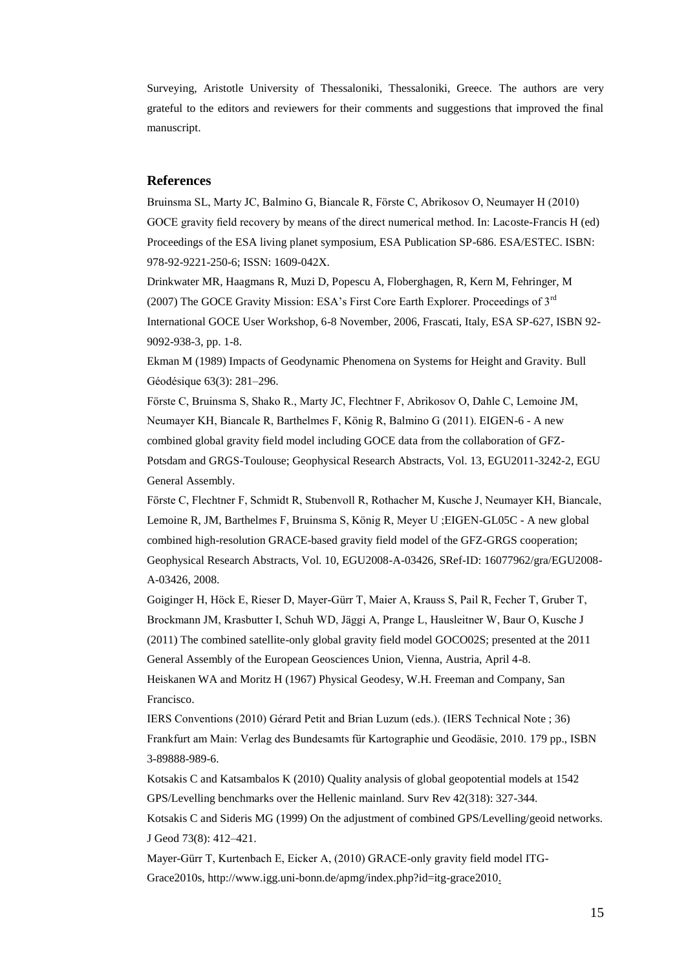Surveying, Aristotle University of Thessaloniki, Thessaloniki, Greece. The authors are very grateful to the editors and reviewers for their comments and suggestions that improved the final manuscript.

#### **References**

Bruinsma SL, Marty JC, Balmino G, Biancale R, Förste C, Abrikosov O, Neumayer H (2010) GOCE gravity field recovery by means of the direct numerical method. In: Lacoste-Francis H (ed) Proceedings of the ESA living planet symposium, ESA Publication SP-686. ESA/ESTEC. ISBN: 978-92-9221-250-6; ISSN: 1609-042X.

Drinkwater MR, Haagmans R, Muzi D, Popescu A, Floberghagen, R, Kern M, Fehringer, M (2007) The GOCE Gravity Mission: ESA's First Core Earth Explorer. Proceedings of  $3<sup>rd</sup>$ International GOCE User Workshop, 6-8 November, 2006, Frascati, Italy, ESA SP-627, ISBN 92- 9092-938-3, pp. 1-8.

Ekman M (1989) Impacts of Geodynamic Phenomena on Systems for Height and Gravity. Bull Géodésique 63(3): 281–296.

Förste C, Bruinsma S, Shako R., Marty JC, Flechtner F, Abrikosov O, Dahle C, Lemoine JM, Neumayer KH, Biancale R, Barthelmes F, König R, Balmino G (2011). EIGEN-6 - A new combined global gravity field model including GOCE data from the collaboration of GFZ-Potsdam and GRGS-Toulouse; Geophysical Research Abstracts, Vol. 13, EGU2011-3242-2, EGU General Assembly.

Förste C, Flechtner F, Schmidt R, Stubenvoll R, Rothacher M, Kusche J, Neumayer KH, Biancale, Lemoine R, JM, Barthelmes F, Bruinsma S, König R, Meyer U ;EIGEN-GL05C - A new global combined high-resolution GRACE-based gravity field model of the GFZ-GRGS cooperation; Geophysical Research Abstracts, Vol. 10, EGU2008-A-03426, SRef-ID: 16077962/gra/EGU2008- A-03426, 2008.

Goiginger H, Höck E, Rieser D, Mayer-Gürr T, Maier A, Krauss S, Pail R, Fecher T, Gruber T, Brockmann JM, Krasbutter I, Schuh WD, Jäggi A, Prange L, Hausleitner W, Baur O, Kusche J (2011) The combined satellite-only global gravity field model GOCO02S; presented at the 2011 General Assembly of the European Geosciences Union, Vienna, Austria, April 4-8.

Heiskanen WA and Moritz H (1967) Physical Geodesy, W.H. Freeman and Company, San Francisco.

IERS Conventions (2010) Gérard Petit and Brian Luzum (eds.). (IERS Technical Note ; 36) Frankfurt am Main: Verlag des Bundesamts für Kartographie und Geodäsie, 2010. 179 pp., ISBN 3-89888-989-6.

Kotsakis C and Katsambalos K (2010) Quality analysis of global geopotential models at 1542 GPS/Levelling benchmarks over the Hellenic mainland. Surv Rev 42(318): 327-344.

Kotsakis C and Sideris MG (1999) On the adjustment of combined GPS/Levelling/geoid networks. J Geod 73(8): 412–421.

Mayer-Gürr T, Kurtenbach E, Eicker A, (2010) GRACE-only gravity field model ITG-Grace2010s, http:/[/www.igg.uni-bonn.de/apmg/index.php?id=itg-grace2010.](http://www.igg.uni-bonn.de/apmg/index.php?id=itg-grace2010)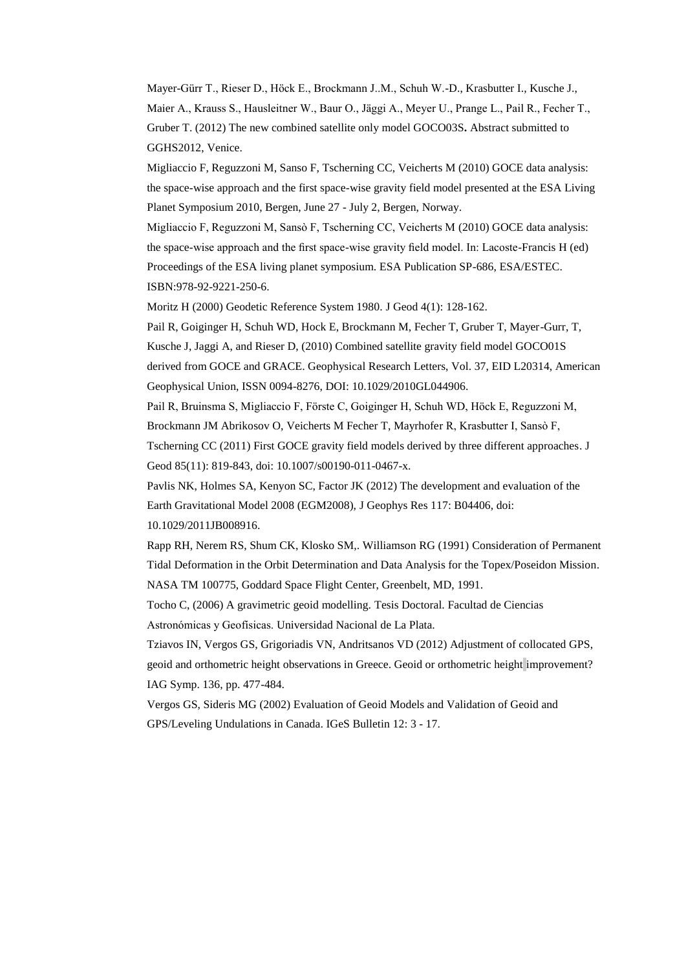Mayer-Gürr T., Rieser D., Höck E., Brockmann J..M., Schuh W.-D., Krasbutter I., Kusche J., Maier A., Krauss S., Hausleitner W., Baur O., Jäggi A., Meyer U., Prange L., Pail R., Fecher T., Gruber T. (2012) The new combined satellite only model GOCO03S**.** Abstract submitted to GGHS2012, Venice.

Migliaccio F, Reguzzoni M, Sanso F, Tscherning CC, Veicherts M (2010) GOCE data analysis: the space-wise approach and the first space-wise gravity field model presented at the ESA Living Planet Symposium 2010, Bergen, June 27 - July 2, Bergen, Norway.

Migliaccio F, Reguzzoni M, Sansò F, Tscherning CC, Veicherts M (2010) GOCE data analysis: the space-wise approach and the first space-wise gravity field model. In: Lacoste-Francis H (ed) Proceedings of the ESA living planet symposium. ESA Publication SP-686, ESA/ESTEC. ISBN:978-92-9221-250-6.

Moritz H (2000) Geodetic Reference System 1980. J Geod 4(1): 128-162.

Pail R, Goiginger H, Schuh WD, Hock E, Brockmann M, Fecher T, Gruber T, Mayer-Gurr, T, Kusche J, Jaggi A, and Rieser D, (2010) Combined satellite gravity field model GOCO01S derived from GOCE and GRACE. Geophysical Research Letters, Vol. 37, EID L20314, American Geophysical Union, ISSN 0094-8276, DOI: 10.1029/2010GL044906.

Pail R, Bruinsma S, Migliaccio F, Förste C, Goiginger H, Schuh WD, Höck E, Reguzzoni M,

Brockmann JM Abrikosov O, Veicherts M Fecher T, Mayrhofer R, Krasbutter I, Sansò F,

Tscherning CC (2011) First GOCE gravity field models derived by three different approaches. J Geod 85(11): 819-843, doi: 10.1007/s00190-011-0467-x.

Pavlis NK, Holmes SA, Kenyon SC, Factor JK (2012) The development and evaluation of the Earth Gravitational Model 2008 (EGM2008), J Geophys Res 117: B04406, doi: 10.1029/2011JB008916.

Rapp RH, Nerem RS, Shum CK, Klosko SM,. Williamson RG (1991) Consideration of Permanent Tidal Deformation in the Orbit Determination and Data Analysis for the Topex/Poseidon Mission. NASA TM 100775, Goddard Space Flight Center, Greenbelt, MD, 1991.

Tocho C, (2006) A gravimetric geoid modelling. Tesis Doctoral. Facultad de Ciencias Astronómicas y Geofísicas. Universidad Nacional de La Plata.

Tziavos IN, Vergos GS, Grigoriadis VN, Andritsanos VD (2012) Adjustment of collocated GPS, geoid and orthometric height observations in Greece. Geoid or orthometric height improvement? IAG Symp. 136, pp. 477-484.

Vergos GS, Sideris MG (2002) Evaluation of Geoid Models and Validation of Geoid and GPS/Leveling Undulations in Canada. IGeS Bulletin 12: 3 - 17.